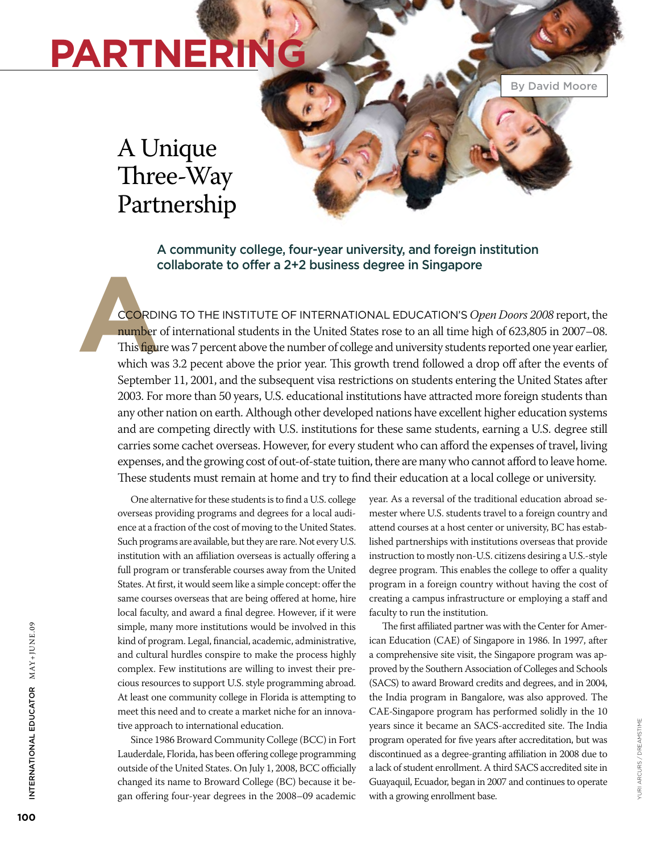# **Partnering**

By David Moore

### A Unique Three-Way Partnership

A community college, four-year university, and foreign institution collaborate to offer a 2+2 business degree in Singapore

**A** ccording to the Institute of International Education's *Open Doors 2008* report, the number of international students in the United States rose to an all time high of 623,805 in 2007–08. This figure was 7 percent above the number of college and university students reported one year earlier, which was 3.2 pecent above the prior year. This growth trend followed a drop off after the events of September 11, 2001, and the subsequent visa restrictions on students entering the United States after 2003. For more than 50 years, U.S. educational institutions have attracted more foreign students than any other nation on earth. Although other developed nations have excellent higher education systems and are competing directly with U.S. institutions for these same students, earning a U.S. degree still carries some cachet overseas. However, for every student who can afford the expenses of travel, living expenses, and the growing cost of out-of-state tuition, there are many who cannot afford to leave home. These students must remain at home and try to find their education at a local college or university.

One alternative for these students is to find a U.S. college overseas providing programs and degrees for a local audience at a fraction of the cost of moving to the United States. Such programs are available, but they are rare. Not every U.S. institution with an affiliation overseas is actually offering a full program or transferable courses away from the United States. At first, it would seem like a simple concept: offer the same courses overseas that are being offered at home, hire local faculty, and award a final degree. However, if it were simple, many more institutions would be involved in this kind of program. Legal, financial, academic, administrative, and cultural hurdles conspire to make the process highly complex. Few institutions are willing to invest their precious resources to support U.S. style programming abroad. At least one community college in Florida is attempting to meet this need and to create a market niche for an innovative approach to international education.

Since 1986 Broward Community College (BCC) in Fort Lauderdale, Florida, has been offering college programming outside of the United States. On July 1, 2008, BCC officially changed its name to Broward College (BC) because it began offering four-year degrees in the 2008–09 academic

year. As a reversal of the traditional education abroad semester where U.S. students travel to a foreign country and attend courses at a host center or university, BC has established partnerships with institutions overseas that provide instruction to mostly non-U.S. citizens desiring a U.S.-style degree program. This enables the college to offer a quality program in a foreign country without having the cost of creating a campus infrastructure or employing a staff and faculty to run the institution.

The first affiliated partner was with the Center for American Education (CAE) of Singapore in 1986. In 1997, after a comprehensive site visit, the Singapore program was approved by the Southern Association of Colleges and Schools (SACS) to award Broward credits and degrees, and in 2004, the India program in Bangalore, was also approved. The CAE-Singapore program has performed solidly in the 10 years since it became an SACS-accredited site. The India program operated for five years after accreditation, but was discontinued as a degree-granting affiliation in 2008 due to a lack of student enrollment. A third SACS accredited site in Guayaquil, Ecuador, began in 2007 and continues to operate with a growing enrollment base.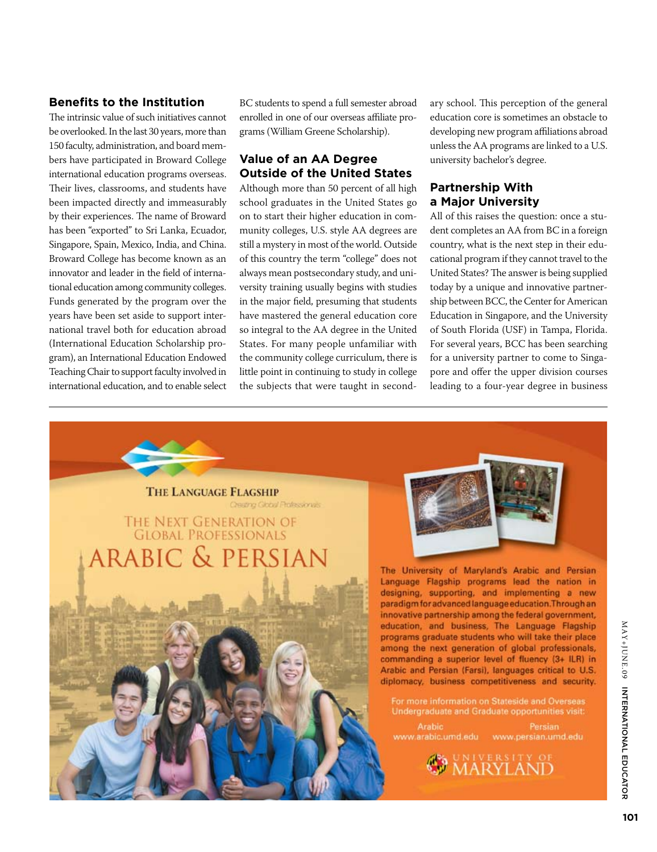#### **Benefits to the Institution**

The intrinsic value of such initiatives cannot be overlooked. In the last 30 years, more than 150 faculty, administration, and board members have participated in Broward College international education programs overseas. Their lives, classrooms, and students have been impacted directly and immeasurably by their experiences. The name of Broward has been "exported" to Sri Lanka, Ecuador, Singapore, Spain, Mexico, India, and China. Broward College has become known as an innovator and leader in the field of international education among community colleges. Funds generated by the program over the years have been set aside to support international travel both for education abroad (International Education Scholarship program), an International Education Endowed Teaching Chair to support faculty involved in international education, and to enable select BC students to spend a full semester abroad enrolled in one of our overseas affiliate programs (William Greene Scholarship).

#### **Value of an AA Degree Outside of the United States**

Although more than 50 percent of all high school graduates in the United States go on to start their higher education in community colleges, U.S. style AA degrees are still a mystery in most of the world. Outside of this country the term "college" does not always mean postsecondary study, and university training usually begins with studies in the major field, presuming that students have mastered the general education core so integral to the AA degree in the United States. For many people unfamiliar with the community college curriculum, there is little point in continuing to study in college the subjects that were taught in secondary school. This perception of the general education core is sometimes an obstacle to developing new program affiliations abroad unless the AA programs are linked to a U.S. university bachelor's degree.

#### **Partnership With a Major University**

All of this raises the question: once a student completes an AA from BC in a foreign country, what is the next step in their educational program if they cannot travel to the United States? The answer is being supplied today by a unique and innovative partnership between BCC, the Center for American Education in Singapore, and the University of South Florida (USF) in Tampa, Florida. For several years, BCC has been searching for a university partner to come to Singapore and offer the upper division courses leading to a four-year degree in business

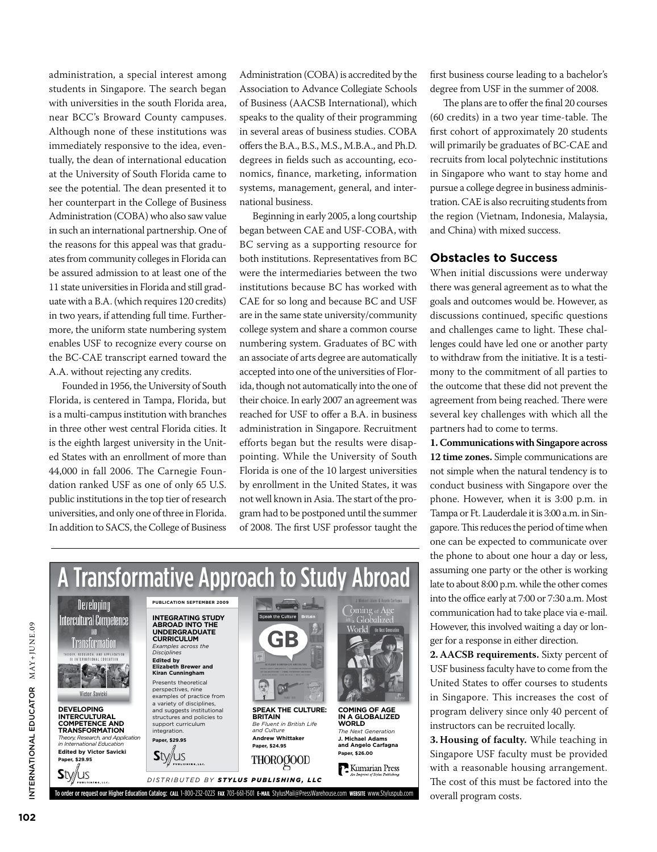administration, a special interest among students in Singapore. The search began with universities in the south Florida area, near BCC's Broward County campuses. Although none of these institutions was immediately responsive to the idea, eventually, the dean of international education at the University of South Florida came to see the potential. The dean presented it to her counterpart in the College of Business Administration (COBA) who also saw value in such an international partnership. One of the reasons for this appeal was that graduates from community colleges in Florida can be assured admission to at least one of the 11 state universities in Florida and still graduate with a B.A. (which requires 120 credits) in two years, if attending full time. Furthermore, the uniform state numbering system enables USF to recognize every course on the BC-CAE transcript earned toward the A.A. without rejecting any credits.

Founded in 1956, the University of South Florida, is centered in Tampa, Florida, but is a multi-campus institution with branches in three other west central Florida cities. It is the eighth largest university in the United States with an enrollment of more than 44,000 in fall 2006. The Carnegie Foundation ranked USF as one of only 65 U.S. public institutions in the top tier of research universities, and only one of three in Florida. In addition to SACS, the College of Business

Administration (COBA) is accredited by the Association to Advance Collegiate Schools of Business (AACSB International), which speaks to the quality of their programming in several areas of business studies. COBA offers the B.A., B.S., M.S., M.B.A., and Ph.D. degrees in fields such as accounting, economics, finance, marketing, information systems, management, general, and international business.

Beginning in early 2005, a long courtship began between CAE and USF-COBA, with BC serving as a supporting resource for both institutions. Representatives from BC were the intermediaries between the two institutions because BC has worked with CAE for so long and because BC and USF are in the same state university/community college system and share a common course numbering system. Graduates of BC with an associate of arts degree are automatically accepted into one of the universities of Florida, though not automatically into the one of their choice. In early 2007 an agreement was reached for USF to offer a B.A. in business administration in Singapore. Recruitment efforts began but the results were disappointing. While the University of South Florida is one of the 10 largest universities by enrollment in the United States, it was not well known in Asia. The start of the program had to be postponed until the summer of 2008. The first USF professor taught the



first business course leading to a bachelor's degree from USF in the summer of 2008.

The plans are to offer the final 20 courses (60 credits) in a two year time-table. The first cohort of approximately 20 students will primarily be graduates of BC-CAE and recruits from local polytechnic institutions in Singapore who want to stay home and pursue a college degree in business administration. CAE is also recruiting students from the region (Vietnam, Indonesia, Malaysia, and China) with mixed success.

#### **Obstacles to Success**

When initial discussions were underway there was general agreement as to what the goals and outcomes would be. However, as discussions continued, specific questions and challenges came to light. These challenges could have led one or another party to withdraw from the initiative. It is a testimony to the commitment of all parties to the outcome that these did not prevent the agreement from being reached. There were several key challenges with which all the partners had to come to terms.

**1.Communications with Singapore across 12 time zones.** Simple communications are not simple when the natural tendency is to conduct business with Singapore over the phone. However, when it is 3:00 p.m. in Tampa or Ft. Lauderdale it is 3:00 a.m. in Singapore. This reduces the period of time when one can be expected to communicate over the phone to about one hour a day or less, assuming one party or the other is working late to about 8:00 p.m. while the other comes into the office early at 7:00 or 7:30 a.m. Most communication had to take place via e-mail. However, this involved waiting a day or longer for a response in either direction.

**2. AACSB requirements.** Sixty percent of USF business faculty have to come from the United States to offer courses to students in Singapore. This increases the cost of program delivery since only 40 percent of instructors can be recruited locally.

**3. Housing of faculty.** While teaching in Singapore USF faculty must be provided with a reasonable housing arrangement. The cost of this must be factored into the overall program costs.